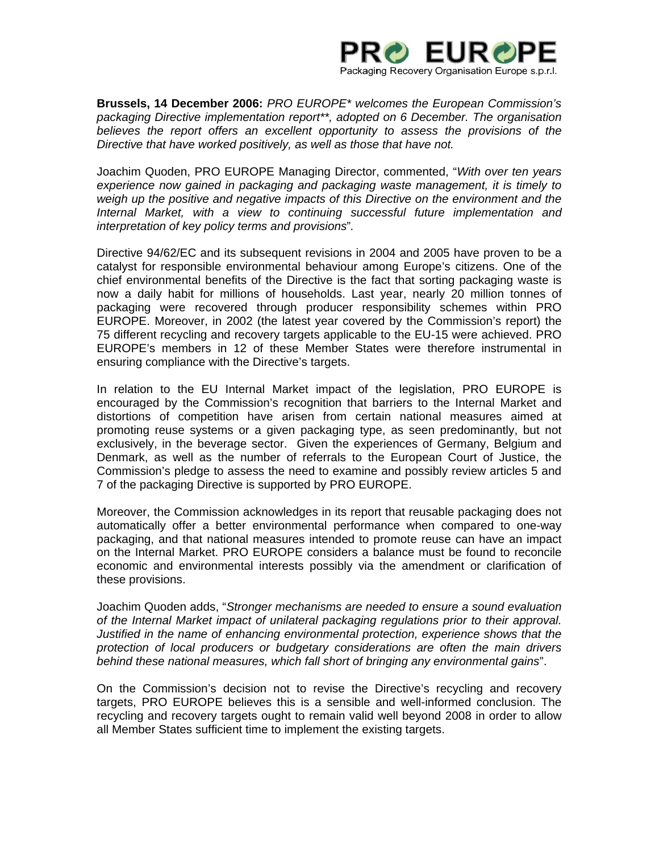

**Brussels, 14 December 2006:** *PRO EUROPE\* welcomes the European Commission's packaging Directive implementation report\*\*, adopted on 6 December. The organisation*  believes the report offers an excellent opportunity to assess the provisions of the *Directive that have worked positively, as well as those that have not.* 

Joachim Quoden, PRO EUROPE Managing Director, commented, "*With over ten years experience now gained in packaging and packaging waste management, it is timely to weigh up the positive and negative impacts of this Directive on the environment and the Internal Market, with a view to continuing successful future implementation and interpretation of key policy terms and provisions*"*.* 

Directive 94/62/EC and its subsequent revisions in 2004 and 2005 have proven to be a catalyst for responsible environmental behaviour among Europe's citizens. One of the chief environmental benefits of the Directive is the fact that sorting packaging waste is now a daily habit for millions of households. Last year, nearly 20 million tonnes of packaging were recovered through producer responsibility schemes within PRO EUROPE. Moreover, in 2002 (the latest year covered by the Commission's report) the 75 different recycling and recovery targets applicable to the EU-15 were achieved. PRO EUROPE's members in 12 of these Member States were therefore instrumental in ensuring compliance with the Directive's targets.

In relation to the EU Internal Market impact of the legislation, PRO EUROPE is encouraged by the Commission's recognition that barriers to the Internal Market and distortions of competition have arisen from certain national measures aimed at promoting reuse systems or a given packaging type, as seen predominantly, but not exclusively, in the beverage sector. Given the experiences of Germany, Belgium and Denmark, as well as the number of referrals to the European Court of Justice, the Commission's pledge to assess the need to examine and possibly review articles 5 and 7 of the packaging Directive is supported by PRO EUROPE.

Moreover, the Commission acknowledges in its report that reusable packaging does not automatically offer a better environmental performance when compared to one-way packaging, and that national measures intended to promote reuse can have an impact on the Internal Market. PRO EUROPE considers a balance must be found to reconcile economic and environmental interests possibly via the amendment or clarification of these provisions.

Joachim Quoden adds, "*Stronger mechanisms are needed to ensure a sound evaluation of the Internal Market impact of unilateral packaging regulations prior to their approval. Justified in the name of enhancing environmental protection, experience shows that the protection of local producers or budgetary considerations are often the main drivers behind these national measures, which fall short of bringing any environmental gains*".

On the Commission's decision not to revise the Directive's recycling and recovery targets, PRO EUROPE believes this is a sensible and well-informed conclusion. The recycling and recovery targets ought to remain valid well beyond 2008 in order to allow all Member States sufficient time to implement the existing targets.